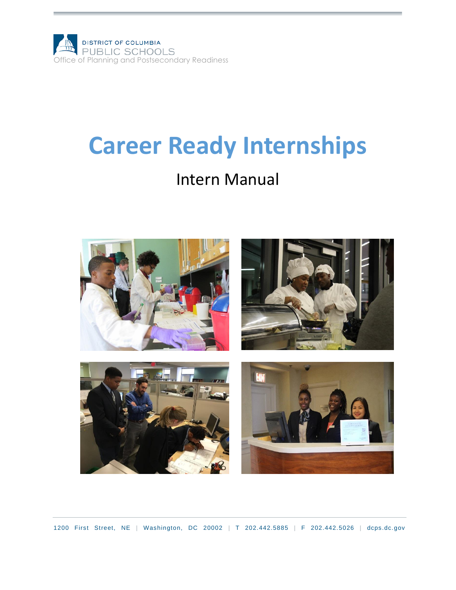

# **Career Ready Internships**

### Intern Manual



1200 First Street, NE | Washington, DC 20002 | T 202.442.5885 | F 202.442.5026 | [dcps.dc.gov](http://www.k12.dc.us/)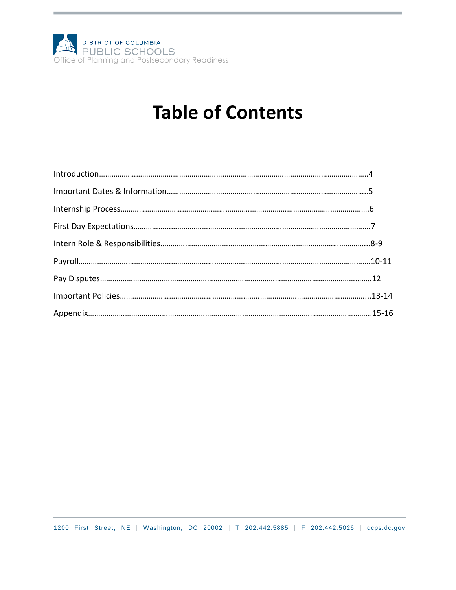

# **Table of Contents**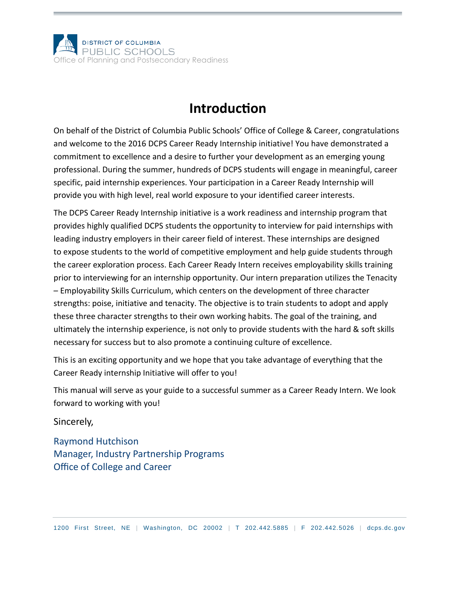

### **Introduction**

On behalf of the District of Columbia Public Schools' Office of College & Career, congratulations and welcome to the 2016 DCPS Career Ready Internship initiative! You have demonstrated a commitment to excellence and a desire to further your development as an emerging young professional. During the summer, hundreds of DCPS students will engage in meaningful, career specific, paid internship experiences. Your participation in a Career Ready Internship will provide you with high level, real world exposure to your identified career interests.

The DCPS Career Ready Internship initiative is a work readiness and internship program that provides highly qualified DCPS students the opportunity to interview for paid internships with leading industry employers in their career field of interest. These internships are designed to expose students to the world of competitive employment and help guide students through the career exploration process. Each Career Ready Intern receives employability skills training prior to interviewing for an internship opportunity. Our intern preparation utilizes the Tenacity – Employability Skills Curriculum, which centers on the development of three character strengths: poise, initiative and tenacity. The objective is to train students to adopt and apply these three character strengths to their own working habits. The goal of the training, and ultimately the internship experience, is not only to provide students with the hard & soft skills necessary for success but to also promote a continuing culture of excellence.

This is an exciting opportunity and we hope that you take advantage of everything that the Career Ready internship Initiative will offer to you!

This manual will serve as your guide to a successful summer as a Career Ready Intern. We look forward to working with you!

Sincerely,

Raymond Hutchison Manager, Industry Partnership Programs Office of College and Career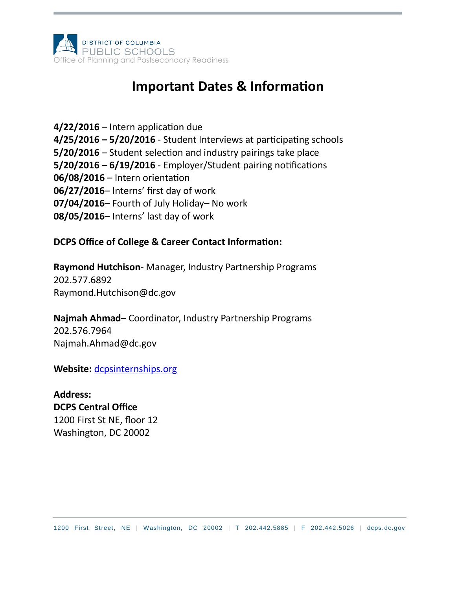

### **Important Dates & Information**

**4/22/2016** – Intern application due **4/25/2016 – 5/20/2016** - Student Interviews at participating schools **5/20/2016** – Student selection and industry pairings take place **5/20/2016 – 6/19/2016** - Employer/Student pairing notifications **06/08/2016** – Intern orientation **06/27/2016**– Interns' first day of work **07/04/2016**– Fourth of July Holiday– No work **08/05/2016**– Interns' last day of work

#### **DCPS Office of College & Career Contact Information:**

**Raymond Hutchison**- Manager, Industry Partnership Programs 202.577.6892 Raymond.Hutchison@dc.gov

**Najmah Ahmad**– Coordinator, Industry Partnership Programs 202.576.7964 Najmah.Ahmad@dc.gov

**Website:** [dcpsinternships.org](http://dcpsinternships.org/)

**Address: DCPS Central Office** 1200 First St NE, floor 12 Washington, DC 20002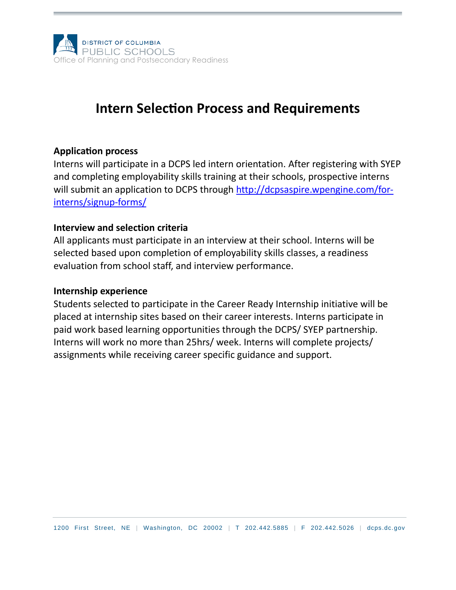

### **Intern Selection Process and Requirements**

#### **Application process**

Interns will participate in a DCPS led intern orientation. After registering with SYEP and completing employability skills training at their schools, prospective interns will submit an application to DCPS through [http://dcpsaspire.wpengine.com/for](http://dcpsaspire.wpengine.com/for-interns/signup-forms/)[interns/signup-forms/](http://dcpsaspire.wpengine.com/for-interns/signup-forms/)

#### **Interview and selection criteria**

All applicants must participate in an interview at their school. Interns will be selected based upon completion of employability skills classes, a readiness evaluation from school staff, and interview performance.

#### **Internship experience**

Students selected to participate in the Career Ready Internship initiative will be placed at internship sites based on their career interests. Interns participate in paid work based learning opportunities through the DCPS/ SYEP partnership. Interns will work no more than 25hrs/ week. Interns will complete projects/ assignments while receiving career specific guidance and support.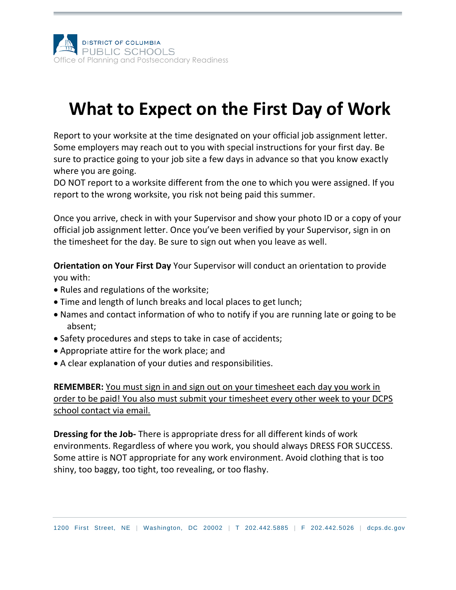

# **What to Expect on the First Day of Work**

Report to your worksite at the time designated on your official job assignment letter. Some employers may reach out to you with special instructions for your first day. Be sure to practice going to your job site a few days in advance so that you know exactly where you are going.

DO NOT report to a worksite different from the one to which you were assigned. If you report to the wrong worksite, you risk not being paid this summer.

Once you arrive, check in with your Supervisor and show your photo ID or a copy of your official job assignment letter. Once you've been verified by your Supervisor, sign in on the timesheet for the day. Be sure to sign out when you leave as well.

**Orientation on Your First Day** Your Supervisor will conduct an orientation to provide you with:

- Rules and regulations of the worksite;
- Time and length of lunch breaks and local places to get lunch;
- Names and contact information of who to notify if you are running late or going to be absent;
- Safety procedures and steps to take in case of accidents;
- Appropriate attire for the work place; and
- A clear explanation of your duties and responsibilities.

**REMEMBER:** You must sign in and sign out on your timesheet each day you work in order to be paid! You also must submit your timesheet every other week to your DCPS school contact via email.

**Dressing for the Job-** There is appropriate dress for all different kinds of work environments. Regardless of where you work, you should always DRESS FOR SUCCESS. Some attire is NOT appropriate for any work environment. Avoid clothing that is too shiny, too baggy, too tight, too revealing, or too flashy.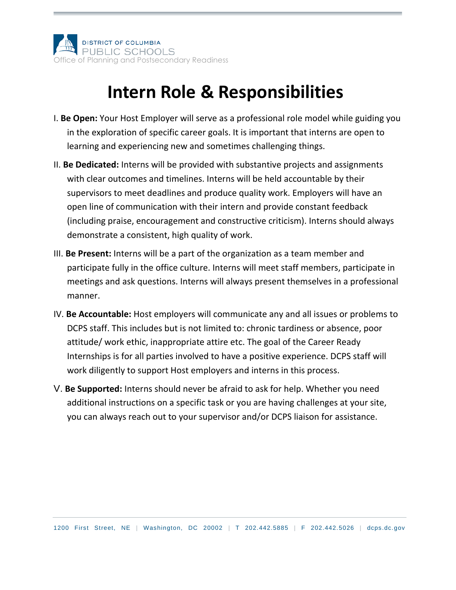

## **Intern Role & Responsibilities**

- I. **Be Open:** Your Host Employer will serve as a professional role model while guiding you in the exploration of specific career goals. It is important that interns are open to learning and experiencing new and sometimes challenging things.
- II. **Be Dedicated:** Interns will be provided with substantive projects and assignments with clear outcomes and timelines. Interns will be held accountable by their supervisors to meet deadlines and produce quality work. Employers will have an open line of communication with their intern and provide constant feedback (including praise, encouragement and constructive criticism). Interns should always demonstrate a consistent, high quality of work.
- III. **Be Present:** Interns will be a part of the organization as a team member and participate fully in the office culture. Interns will meet staff members, participate in meetings and ask questions. Interns will always present themselves in a professional manner.
- IV. **Be Accountable:** Host employers will communicate any and all issues or problems to DCPS staff. This includes but is not limited to: chronic tardiness or absence, poor attitude/ work ethic, inappropriate attire etc. The goal of the Career Ready Internships is for all parties involved to have a positive experience. DCPS staff will work diligently to support Host employers and interns in this process.
- V. **Be Supported:** Interns should never be afraid to ask for help. Whether you need additional instructions on a specific task or you are having challenges at your site, you can always reach out to your supervisor and/or DCPS liaison for assistance.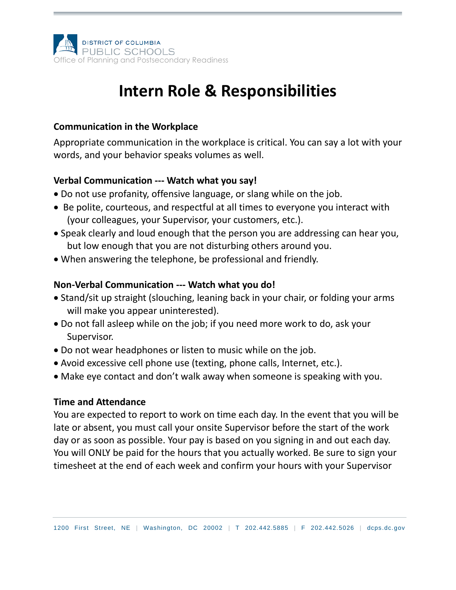

### **Intern Role & Responsibilities**

#### **Communication in the Workplace**

Appropriate communication in the workplace is critical. You can say a lot with your words, and your behavior speaks volumes as well.

#### **Verbal Communication --- Watch what you say!**

- Do not use profanity, offensive language, or slang while on the job.
- Be polite, courteous, and respectful at all times to everyone you interact with (your colleagues, your Supervisor, your customers, etc.).
- Speak clearly and loud enough that the person you are addressing can hear you, but low enough that you are not disturbing others around you.
- When answering the telephone, be professional and friendly.

### **Non-Verbal Communication --- Watch what you do!**

- Stand/sit up straight (slouching, leaning back in your chair, or folding your arms will make you appear uninterested).
- Do not fall asleep while on the job; if you need more work to do, ask your Supervisor.
- Do not wear headphones or listen to music while on the job.
- Avoid excessive cell phone use (texting, phone calls, Internet, etc.).
- Make eye contact and don't walk away when someone is speaking with you.

#### **Time and Attendance**

You are expected to report to work on time each day. In the event that you will be late or absent, you must call your onsite Supervisor before the start of the work day or as soon as possible. Your pay is based on you signing in and out each day. You will ONLY be paid for the hours that you actually worked. Be sure to sign your timesheet at the end of each week and confirm your hours with your Supervisor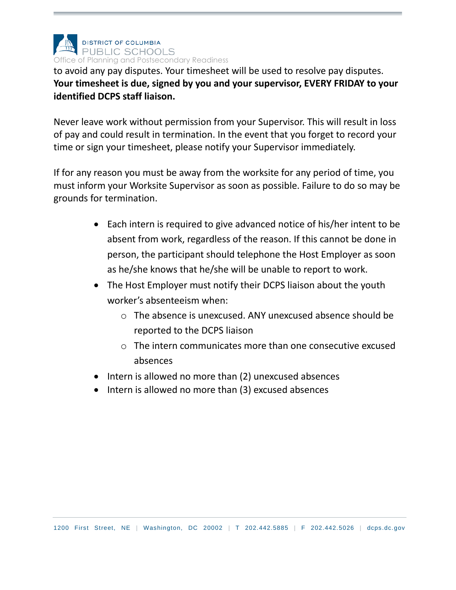

to avoid any pay disputes. Your timesheet will be used to resolve pay disputes. **Your timesheet is due, signed by you and your supervisor, EVERY FRIDAY to your identified DCPS staff liaison.** 

Never leave work without permission from your Supervisor. This will result in loss of pay and could result in termination. In the event that you forget to record your time or sign your timesheet, please notify your Supervisor immediately.

If for any reason you must be away from the worksite for any period of time, you must inform your Worksite Supervisor as soon as possible. Failure to do so may be grounds for termination.

- Each intern is required to give advanced notice of his/her intent to be absent from work, regardless of the reason. If this cannot be done in person, the participant should telephone the Host Employer as soon as he/she knows that he/she will be unable to report to work.
- The Host Employer must notify their DCPS liaison about the youth worker's absenteeism when:
	- o The absence is unexcused. ANY unexcused absence should be reported to the DCPS liaison
	- $\circ$  The intern communicates more than one consecutive excused absences
- Intern is allowed no more than (2) unexcused absences
- Intern is allowed no more than (3) excused absences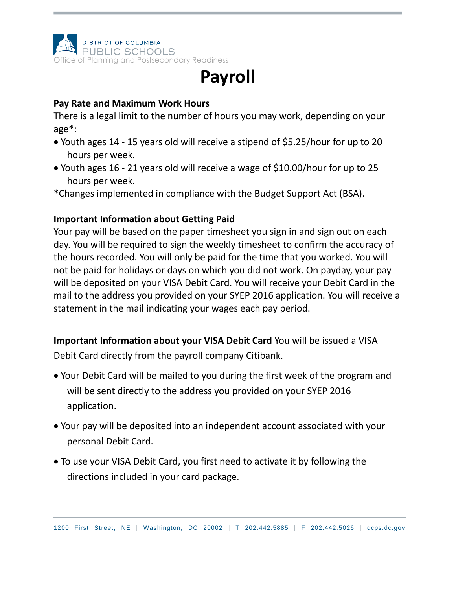

## **Payroll**

#### **Pay Rate and Maximum Work Hours**

There is a legal limit to the number of hours you may work, depending on your age\*:

- Youth ages 14 15 years old will receive a stipend of \$5.25/hour for up to 20 hours per week.
- Youth ages 16 21 years old will receive a wage of \$10.00/hour for up to 25 hours per week.

\*Changes implemented in compliance with the Budget Support Act (BSA).

### **Important Information about Getting Paid**

Your pay will be based on the paper timesheet you sign in and sign out on each day. You will be required to sign the weekly timesheet to confirm the accuracy of the hours recorded. You will only be paid for the time that you worked. You will not be paid for holidays or days on which you did not work. On payday, your pay will be deposited on your VISA Debit Card. You will receive your Debit Card in the mail to the address you provided on your SYEP 2016 application. You will receive a statement in the mail indicating your wages each pay period.

**Important Information about your VISA Debit Card** You will be issued a VISA

Debit Card directly from the payroll company Citibank.

- Your Debit Card will be mailed to you during the first week of the program and will be sent directly to the address you provided on your SYEP 2016 application.
- Your pay will be deposited into an independent account associated with your personal Debit Card.
- To use your VISA Debit Card, you first need to activate it by following the directions included in your card package.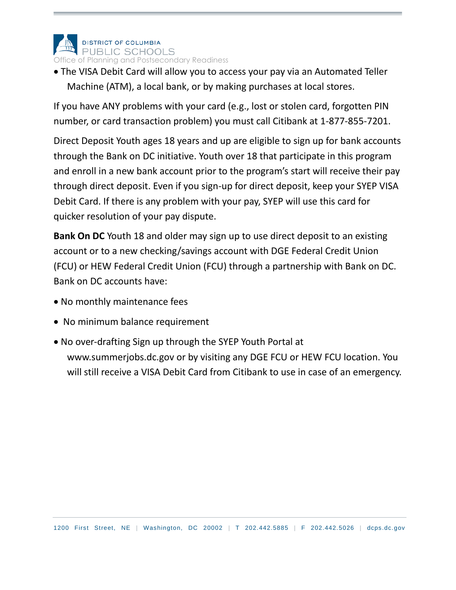

 The VISA Debit Card will allow you to access your pay via an Automated Teller Machine (ATM), a local bank, or by making purchases at local stores.

If you have ANY problems with your card (e.g., lost or stolen card, forgotten PIN number, or card transaction problem) you must call Citibank at 1-877-855-7201.

Direct Deposit Youth ages 18 years and up are eligible to sign up for bank accounts through the Bank on DC initiative. Youth over 18 that participate in this program and enroll in a new bank account prior to the program's start will receive their pay through direct deposit. Even if you sign-up for direct deposit, keep your SYEP VISA Debit Card. If there is any problem with your pay, SYEP will use this card for quicker resolution of your pay dispute.

**Bank On DC** Youth 18 and older may sign up to use direct deposit to an existing account or to a new checking/savings account with DGE Federal Credit Union (FCU) or HEW Federal Credit Union (FCU) through a partnership with Bank on DC. Bank on DC accounts have:

- No monthly maintenance fees
- No minimum balance requirement
- No over-drafting Sign up through the SYEP Youth Portal at www.summerjobs.dc.gov or by visiting any DGE FCU or HEW FCU location. You will still receive a VISA Debit Card from Citibank to use in case of an emergency.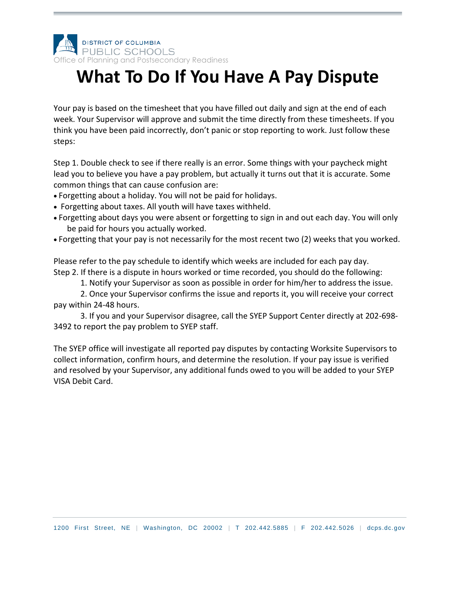

# **What To Do If You Have A Pay Dispute**

Your pay is based on the timesheet that you have filled out daily and sign at the end of each week. Your Supervisor will approve and submit the time directly from these timesheets. If you think you have been paid incorrectly, don't panic or stop reporting to work. Just follow these steps:

Step 1. Double check to see if there really is an error. Some things with your paycheck might lead you to believe you have a pay problem, but actually it turns out that it is accurate. Some common things that can cause confusion are:

- Forgetting about a holiday. You will not be paid for holidays.
- Forgetting about taxes. All youth will have taxes withheld.
- Forgetting about days you were absent or forgetting to sign in and out each day. You will only be paid for hours you actually worked.
- Forgetting that your pay is not necessarily for the most recent two (2) weeks that you worked.

Please refer to the pay schedule to identify which weeks are included for each pay day. Step 2. If there is a dispute in hours worked or time recorded, you should do the following:

1. Notify your Supervisor as soon as possible in order for him/her to address the issue.

2. Once your Supervisor confirms the issue and reports it, you will receive your correct pay within 24-48 hours.

3. If you and your Supervisor disagree, call the SYEP Support Center directly at 202-698- 3492 to report the pay problem to SYEP staff.

The SYEP office will investigate all reported pay disputes by contacting Worksite Supervisors to collect information, confirm hours, and determine the resolution. If your pay issue is verified and resolved by your Supervisor, any additional funds owed to you will be added to your SYEP VISA Debit Card.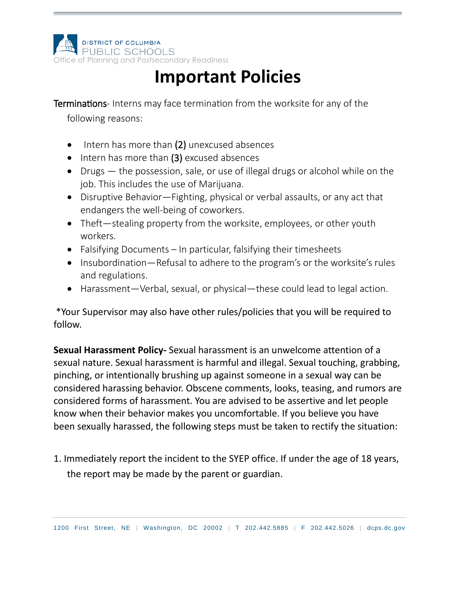

## **Important Policies**

Terminations- Interns may face termination from the worksite for any of the

following reasons:

- $\bullet$  Intern has more than (2) unexcused absences
- $\bullet$  Intern has more than (3) excused absences
- Drugs the possession, sale, or use of illegal drugs or alcohol while on the job. This includes the use of Marijuana.
- Disruptive Behavior—Fighting, physical or verbal assaults, or any act that endangers the well-being of coworkers.
- Theft—stealing property from the worksite, employees, or other youth workers.
- Falsifying Documents In particular, falsifying their timesheets
- Insubordination—Refusal to adhere to the program's or the worksite's rules and regulations.
- Harassment—Verbal, sexual, or physical—these could lead to legal action.

\*Your Supervisor may also have other rules/policies that you will be required to follow.

**Sexual Harassment Policy-** Sexual harassment is an unwelcome attention of a sexual nature. Sexual harassment is harmful and illegal. Sexual touching, grabbing, pinching, or intentionally brushing up against someone in a sexual way can be considered harassing behavior. Obscene comments, looks, teasing, and rumors are considered forms of harassment. You are advised to be assertive and let people know when their behavior makes you uncomfortable. If you believe you have been sexually harassed, the following steps must be taken to rectify the situation:

1. Immediately report the incident to the SYEP office. If under the age of 18 years, the report may be made by the parent or guardian.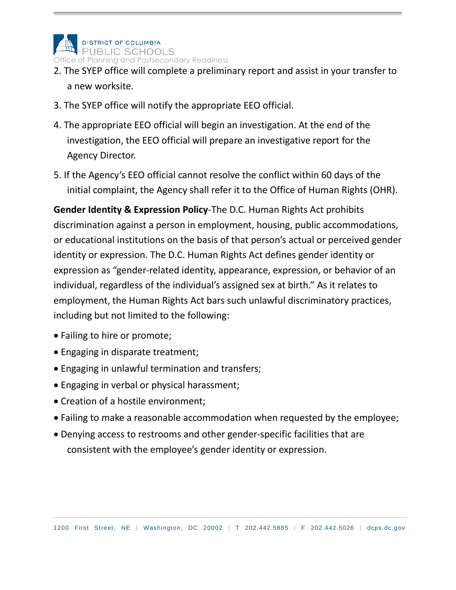

- 2. The SYEP office will complete a preliminary report and assist in your transfer to a new worksite.
- 3. The SYEP office will notify the appropriate EEO official.
- 4. The appropriate EEO official will begin an investigation. At the end of the investigation, the EEO official will prepare an investigative report for the Agency Director.
- 5. If the Agency's EEO official cannot resolve the conflict within 60 days of the initial complaint, the Agency shall refer it to the Office of Human Rights (OHR).

**Gender Identity & Expression Policy**-The D.C. Human Rights Act prohibits discrimination against a person in employment, housing, public accommodations, or educational institutions on the basis of that person's actual or perceived gender identity or expression. The D.C. Human Rights Act defines gender identity or expression as "gender-related identity, appearance, expression, or behavior of an individual, regardless of the individual's assigned sex at birth." As it relates to employment, the Human Rights Act bars such unlawful discriminatory practices, including but not limited to the following:

- Failing to hire or promote;
- Engaging in disparate treatment;
- Engaging in unlawful termination and transfers;
- Engaging in verbal or physical harassment;
- Creation of a hostile environment;
- Failing to make a reasonable accommodation when requested by the employee;
- Denying access to restrooms and other gender-specific facilities that are consistent with the employee's gender identity or expression.